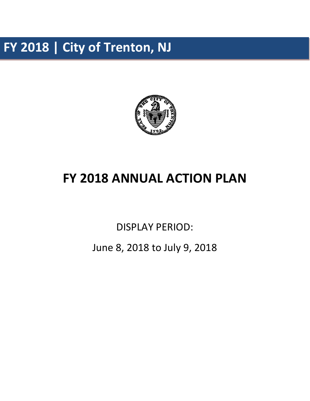**FY 2018 | City of Trenton, NJ**



# **FY 2018 ANNUAL ACTION PLAN**

DISPLAY PERIOD:

June 8, 2018 to July 9, 2018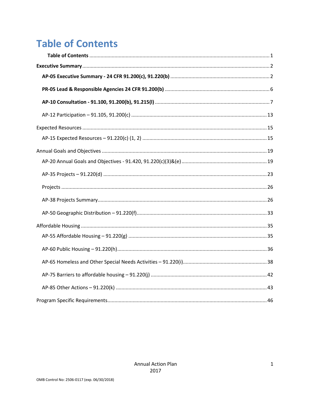# <span id="page-1-0"></span>**Table of Contents**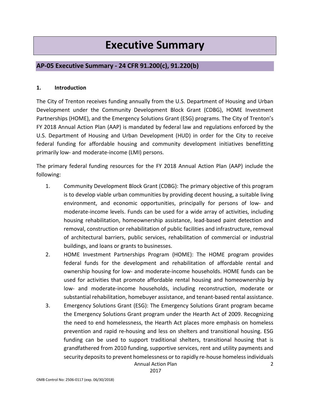# **Executive Summary**

# <span id="page-2-1"></span><span id="page-2-0"></span>**AP-05 Executive Summary - 24 CFR 91.200(c), 91.220(b)**

### **1. Introduction**

The City of Trenton receives funding annually from the U.S. Department of Housing and Urban Development under the Community Development Block Grant (CDBG), HOME Investment Partnerships (HOME), and the Emergency Solutions Grant (ESG) programs. The City of Trenton's FY 2018 Annual Action Plan (AAP) is mandated by federal law and regulations enforced by the U.S. Department of Housing and Urban Development (HUD) in order for the City to receive federal funding for affordable housing and community development initiatives benefitting primarily low- and moderate-income (LMI) persons.

The primary federal funding resources for the FY 2018 Annual Action Plan (AAP) include the following:

- 1. Community Development Block Grant (CDBG): The primary objective of this program is to develop viable urban communities by providing decent housing, a suitable living environment, and economic opportunities, principally for persons of low- and moderate-income levels. Funds can be used for a wide array of activities, including housing rehabilitation, homeownership assistance, lead-based paint detection and removal, construction or rehabilitation of public facilities and infrastructure, removal of architectural barriers, public services, rehabilitation of commercial or industrial buildings, and loans or grants to businesses.
- 2. HOME Investment Partnerships Program (HOME): The HOME program provides federal funds for the development and rehabilitation of affordable rental and ownership housing for low- and moderate-income households. HOME funds can be used for activities that promote affordable rental housing and homeownership by low- and moderate-income households, including reconstruction, moderate or substantial rehabilitation, homebuyer assistance, and tenant-based rental assistance.
- 3. Emergency Solutions Grant (ESG): The Emergency Solutions Grant program became the Emergency Solutions Grant program under the Hearth Act of 2009. Recognizing the need to end homelessness, the Hearth Act places more emphasis on homeless prevention and rapid re-housing and less on shelters and transitional housing. ESG funding can be used to support traditional shelters, transitional housing that is grandfathered from 2010 funding, supportive services, rent and utility payments and security deposits to prevent homelessness or to rapidly re-house homeless individuals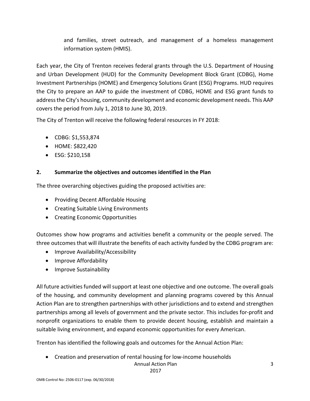and families, street outreach, and management of a homeless management information system (HMIS).

Each year, the City of Trenton receives federal grants through the U.S. Department of Housing and Urban Development (HUD) for the Community Development Block Grant (CDBG), Home Investment Partnerships (HOME) and Emergency Solutions Grant (ESG) Programs. HUD requires the City to prepare an AAP to guide the investment of CDBG, HOME and ESG grant funds to address the City's housing, community development and economic development needs. This AAP covers the period from July 1, 2018 to June 30, 2019.

The City of Trenton will receive the following federal resources in FY 2018:

- CDBG: \$1,553,874
- HOME: \$822,420
- ESG: \$210,158

### **2. Summarize the objectives and outcomes identified in the Plan**

The three overarching objectives guiding the proposed activities are:

- Providing Decent Affordable Housing
- Creating Suitable Living Environments
- Creating Economic Opportunities

Outcomes show how programs and activities benefit a community or the people served. The three outcomes that will illustrate the benefits of each activity funded by the CDBG program are:

- Improve Availability/Accessibility
- Improve Affordability
- Improve Sustainability

All future activities funded will support at least one objective and one outcome. The overall goals of the housing, and community development and planning programs covered by this Annual Action Plan are to strengthen partnerships with other jurisdictions and to extend and strengthen partnerships among all levels of government and the private sector. This includes for-profit and nonprofit organizations to enable them to provide decent housing, establish and maintain a suitable living environment, and expand economic opportunities for every American.

Trenton has identified the following goals and outcomes for the Annual Action Plan:

• Creation and preservation of rental housing for low-income households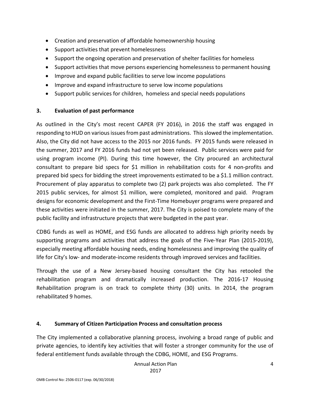- Creation and preservation of affordable homeownership housing
- Support activities that prevent homelessness
- Support the ongoing operation and preservation of shelter facilities for homeless
- Support activities that move persons experiencing homelessness to permanent housing
- Improve and expand public facilities to serve low income populations
- Improve and expand infrastructure to serve low income populations
- Support public services for children, homeless and special needs populations

### **3. Evaluation of past performance**

As outlined in the City's most recent CAPER (FY 2016), in 2016 the staff was engaged in responding to HUD on various issues from past administrations. This slowed the implementation. Also, the City did not have access to the 2015 nor 2016 funds. FY 2015 funds were released in the summer, 2017 and FY 2016 funds had not yet been released. Public services were paid for using program income (PI). During this time however, the City procured an architectural consultant to prepare bid specs for \$1 million in rehabilitation costs for 4 non-profits and prepared bid specs for bidding the street improvements estimated to be a \$1.1 million contract. Procurement of play apparatus to complete two (2) park projects was also completed. The FY 2015 public services, for almost \$1 million, were completed, monitored and paid. Program designs for economic development and the First-Time Homebuyer programs were prepared and these activities were initiated in the summer, 2017. The City is poised to complete many of the public facility and infrastructure projects that were budgeted in the past year.

CDBG funds as well as HOME, and ESG funds are allocated to address high priority needs by supporting programs and activities that address the goals of the Five-Year Plan (2015-2019), especially meeting affordable housing needs, ending homelessness and improving the quality of life for City's low- and moderate-income residents through improved services and facilities.

Through the use of a New Jersey-based housing consultant the City has retooled the rehabilitation program and dramatically increased production. The 2016-17 Housing Rehabilitation program is on track to complete thirty (30) units. In 2014, the program rehabilitated 9 homes.

### **4. Summary of Citizen Participation Process and consultation process**

The City implemented a collaborative planning process, involving a broad range of public and private agencies, to identify key activities that will foster a stronger community for the use of federal entitlement funds available through the CDBG, HOME, and ESG Programs.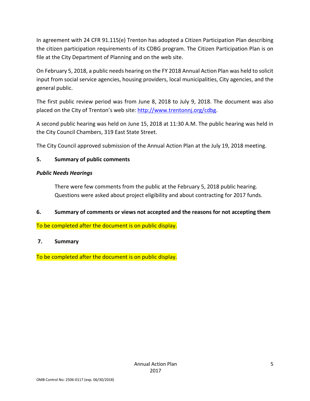In agreement with 24 CFR 91.115(e) Trenton has adopted a Citizen Participation Plan describing the citizen participation requirements of its CDBG program. The Citizen Participation Plan is on file at the City Department of Planning and on the web site.

On February 5, 2018, a public needs hearing on the FY 2018 Annual Action Plan was held to solicit input from social service agencies, housing providers, local municipalities, City agencies, and the general public.

The first public review period was from June 8, 2018 to July 9, 2018. The document was also placed on the City of Trenton's web site: [http://www.trentonnj.org/c](http://www.trentonnj.org/)dbg.

A second public hearing was held on June 15, 2018 at 11:30 A.M. The public hearing was held in the City Council Chambers, 319 East State Street.

The City Council approved submission of the Annual Action Plan at the July 19, 2018 meeting.

### **5. Summary of public comments**

### *Public Needs Hearings*

There were few comments from the public at the February 5, 2018 public hearing. Questions were asked about project eligibility and about contracting for 2017 funds.

### **6. Summary of comments or views not accepted and the reasons for not accepting them**

To be completed after the document is on public display.

### **7. Summary**

To be completed after the document is on public display.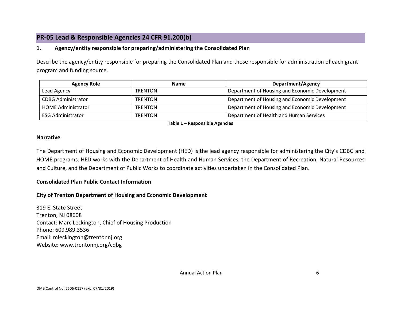# **PR-05 Lead & Responsible Agencies 24 CFR 91.200(b)**

### **1. Agency/entity responsible for preparing/administering the Consolidated Plan**

Describe the agency/entity responsible for preparing the Consolidated Plan and those responsible for administration of each grant program and funding source.

| <b>Agency Role</b>        | <b>Name</b>    | <b>Department/Agency</b>                       |  |  |
|---------------------------|----------------|------------------------------------------------|--|--|
| Lead Agency               | <b>TRENTON</b> | Department of Housing and Economic Development |  |  |
| <b>CDBG Administrator</b> | <b>TRENTON</b> | Department of Housing and Economic Development |  |  |
| <b>HOME Administrator</b> | <b>TRENTON</b> | Department of Housing and Economic Development |  |  |
| <b>ESG Administrator</b>  | <b>TRENTON</b> | Department of Health and Human Services        |  |  |

**Table 1 – Responsible Agencies**

#### <span id="page-6-0"></span>**Narrative**

The Department of Housing and Economic Development (HED) is the lead agency responsible for administering the City's CDBG and HOME programs. HED works with the Department of Health and Human Services, the Department of Recreation, Natural Resources and Culture, and the Department of Public Works to coordinate activities undertaken in the Consolidated Plan.

#### **Consolidated Plan Public Contact Information**

#### **City of Trenton Department of Housing and Economic Development**

319 E. State Street Trenton, NJ 08608 Contact: Marc Leckington, Chief of Housing Production Phone: 609.989.3536 Email: mleckington@trentonnj.org Website: www.trentonnj.org/cdbg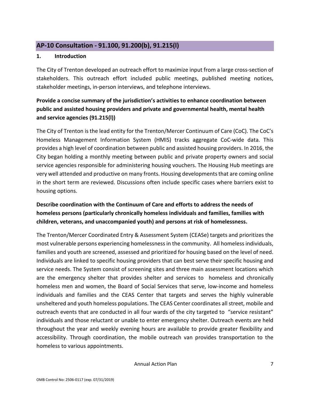### <span id="page-7-0"></span>**AP-10 Consultation - 91.100, 91.200(b), 91.215(l)**

### **1. Introduction**

The City of Trenton developed an outreach effort to maximize input from a large cross-section of stakeholders. This outreach effort included public meetings, published meeting notices, stakeholder meetings, in-person interviews, and telephone interviews.

# **Provide a concise summary of the jurisdiction's activities to enhance coordination between public and assisted housing providers and private and governmental health, mental health and service agencies (91.215(l))**

The City of Trenton is the lead entity for the Trenton/Mercer Continuum of Care (CoC). The CoC's Homeless Management Information System (HMIS) tracks aggregate CoC-wide data. This provides a high level of coordination between public and assisted housing providers. In 2016, the City began holding a monthly meeting between public and private property owners and social service agencies responsible for administering housing vouchers. The Housing Hub meetings are very well attended and productive on many fronts. Housing developments that are coming online in the short term are reviewed. Discussions often include specific cases where barriers exist to housing options.

# **Describe coordination with the Continuum of Care and efforts to address the needs of homeless persons (particularly chronically homeless individuals and families, families with children, veterans, and unaccompanied youth) and persons at risk of homelessness.**

The Trenton/Mercer Coordinated Entry & Assessment System (CEASe) targets and prioritizes the most vulnerable persons experiencing homelessness in the community. All homeless individuals, families and youth are screened, assessed and prioritized for housing based on the level of need. Individuals are linked to specific housing providers that can best serve their specific housing and service needs. The System consist of screening sites and three main assessment locations which are the emergency shelter that provides shelter and services to homeless and chronically homeless men and women, the Board of Social Services that serve, low-income and homeless individuals and families and the CEAS Center that targets and serves the highly vulnerable unsheltered and youth homeless populations. The CEAS Center coordinates all street, mobile and outreach events that are conducted in all four wards of the city targeted to "service resistant" individuals and those reluctant or unable to enter emergency shelter. Outreach events are held throughout the year and weekly evening hours are available to provide greater flexibility and accessibility. Through coordination, the mobile outreach van provides transportation to the homeless to various appointments.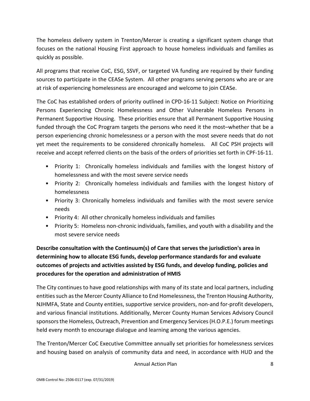The homeless delivery system in Trenton/Mercer is creating a significant system change that focuses on the national Housing First approach to house homeless individuals and families as quickly as possible.

All programs that receive CoC, ESG, SSVF, or targeted VA funding are required by their funding sources to participate in the CEASe System. All other programs serving persons who are or are at risk of experiencing homelessness are encouraged and welcome to join CEASe.

The CoC has established orders of priority outlined in CPD-16-11 Subject: Notice on Prioritizing Persons Experiencing Chronic Homelessness and Other Vulnerable Homeless Persons in Permanent Supportive Housing. These priorities ensure that all Permanent Supportive Housing funded through the CoC Program targets the persons who need it the most–whether that be a person experiencing chronic homelessness or a person with the most severe needs that do not yet meet the requirements to be considered chronically homeless. All CoC PSH projects will receive and accept referred clients on the basis of the orders of priorities set forth in CPF-16-11.

- Priority 1: Chronically homeless individuals and families with the longest history of homelessness and with the most severe service needs
- Priority 2: Chronically homeless individuals and families with the longest history of homelessness
- Priority 3: Chronically homeless individuals and families with the most severe service needs
- Priority 4: All other chronically homeless individuals and families
- Priority 5: Homeless non-chronic individuals, families, and youth with a disability and the most severe service needs

**Describe consultation with the Continuum(s) of Care that serves the jurisdiction's area in determining how to allocate ESG funds, develop performance standards for and evaluate outcomes of projects and activities assisted by ESG funds, and develop funding, policies and procedures for the operation and administration of HMIS**

The City continues to have good relationships with many of its state and local partners, including entities such as the Mercer County Alliance to End Homelessness, the Trenton Housing Authority, NJHMFA, State and County entities, supportive service providers, non-and for-profit developers, and various financial institutions. Additionally, Mercer County Human Services Advisory Council sponsors the Homeless, Outreach, Prevention and Emergency Services (H.O.P.E.) forum meetings held every month to encourage dialogue and learning among the various agencies.

The Trenton/Mercer CoC Executive Committee annually set priorities for homelessness services and housing based on analysis of community data and need, in accordance with HUD and the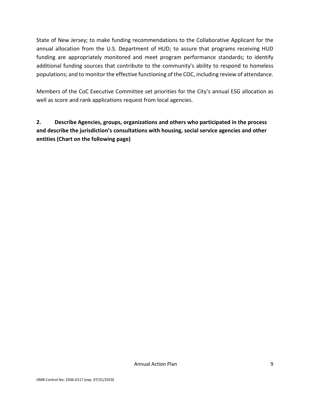State of New Jersey; to make funding recommendations to the Collaborative Applicant for the annual allocation from the U.S. Department of HUD; to assure that programs receiving HUD funding are appropriately monitored and meet program performance standards; to identify additional funding sources that contribute to the community's ability to respond to homeless populations; and to monitor the effective functioning of the COC, including review of attendance.

Members of the CoC Executive Committee set priorities for the City's annual ESG allocation as well as score and rank applications request from local agencies.

**2. Describe Agencies, groups, organizations and others who participated in the process and describe the jurisdiction's consultations with housing, social service agencies and other entities (Chart on the following page)**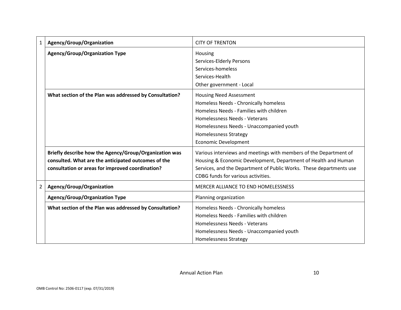| $\mathbf{1}$   | Agency/Group/Organization                                                                                                                                         | <b>CITY OF TRENTON</b>                                                                                                                                                                                                                                         |
|----------------|-------------------------------------------------------------------------------------------------------------------------------------------------------------------|----------------------------------------------------------------------------------------------------------------------------------------------------------------------------------------------------------------------------------------------------------------|
|                | <b>Agency/Group/Organization Type</b>                                                                                                                             | Housing<br>Services-Elderly Persons<br>Services-homeless<br>Services-Health<br>Other government - Local                                                                                                                                                        |
|                | What section of the Plan was addressed by Consultation?                                                                                                           | <b>Housing Need Assessment</b><br>Homeless Needs - Chronically homeless<br>Homeless Needs - Families with children<br>Homelessness Needs - Veterans<br>Homelessness Needs - Unaccompanied youth<br><b>Homelessness Strategy</b><br><b>Economic Development</b> |
|                | Briefly describe how the Agency/Group/Organization was<br>consulted. What are the anticipated outcomes of the<br>consultation or areas for improved coordination? | Various interviews and meetings with members of the Department of<br>Housing & Economic Development, Department of Health and Human<br>Services, and the Department of Public Works. These departments use<br>CDBG funds for various activities.               |
| $\overline{2}$ | Agency/Group/Organization                                                                                                                                         | <b>MERCER ALLIANCE TO END HOMELESSNESS</b>                                                                                                                                                                                                                     |
|                | <b>Agency/Group/Organization Type</b>                                                                                                                             | Planning organization                                                                                                                                                                                                                                          |
|                | What section of the Plan was addressed by Consultation?                                                                                                           | Homeless Needs - Chronically homeless<br>Homeless Needs - Families with children<br>Homelessness Needs - Veterans<br>Homelessness Needs - Unaccompanied youth<br><b>Homelessness Strategy</b>                                                                  |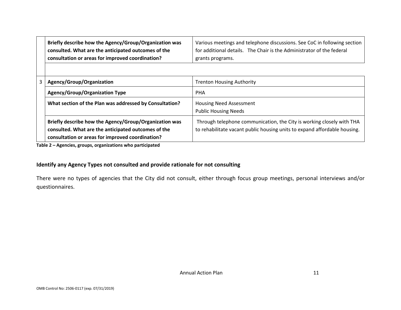| Briefly describe how the Agency/Group/Organization was | Various meetings and telephone discussions. See CoC in following section |
|--------------------------------------------------------|--------------------------------------------------------------------------|
| consulted. What are the anticipated outcomes of the    | for additional details. The Chair is the Administrator of the federal    |
| consultation or areas for improved coordination?       | grants programs.                                                         |

| Agency/Group/Organization                                                                                                                                         | <b>Trenton Housing Authority</b>                                                                                                                   |  |  |  |
|-------------------------------------------------------------------------------------------------------------------------------------------------------------------|----------------------------------------------------------------------------------------------------------------------------------------------------|--|--|--|
| <b>Agency/Group/Organization Type</b>                                                                                                                             | <b>PHA</b>                                                                                                                                         |  |  |  |
| What section of the Plan was addressed by Consultation?                                                                                                           | <b>Housing Need Assessment</b><br><b>Public Housing Needs</b>                                                                                      |  |  |  |
| Briefly describe how the Agency/Group/Organization was<br>consulted. What are the anticipated outcomes of the<br>consultation or areas for improved coordination? | Through telephone communication, the City is working closely with THA<br>to rehabilitate vacant public housing units to expand affordable housing. |  |  |  |

**Table 2 – Agencies, groups, organizations who participated**

### **Identify any Agency Types not consulted and provide rationale for not consulting**

There were no types of agencies that the City did not consult, either through focus group meetings, personal interviews and/or questionnaires.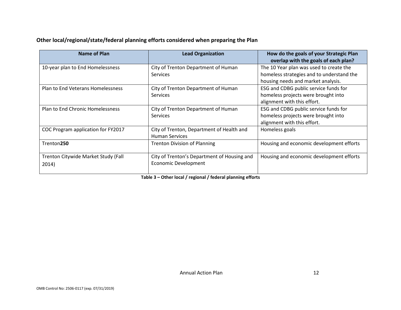### **Other local/regional/state/federal planning efforts considered when preparing the Plan**

| Name of Plan                        | <b>Lead Organization</b>                               | How do the goals of your Strategic Plan<br>overlap with the goals of each plan?      |
|-------------------------------------|--------------------------------------------------------|--------------------------------------------------------------------------------------|
| 10-year plan to End Homelessness    | City of Trenton Department of Human<br><b>Services</b> | The 10 Year plan was used to create the<br>homeless strategies and to understand the |
|                                     |                                                        | housing needs and market analysis.                                                   |
| Plan to End Veterans Homelessness   | City of Trenton Department of Human                    | ESG and CDBG public service funds for                                                |
|                                     | Services                                               | homeless projects were brought into                                                  |
|                                     |                                                        | alignment with this effort.                                                          |
| Plan to End Chronic Homelessness    | City of Trenton Department of Human                    | ESG and CDBG public service funds for                                                |
|                                     | <b>Services</b>                                        | homeless projects were brought into                                                  |
|                                     |                                                        | alignment with this effort.                                                          |
| COC Program application for FY2017  | City of Trenton, Department of Health and              | Homeless goals                                                                       |
|                                     | <b>Human Services</b>                                  |                                                                                      |
| Trenton250                          | <b>Trenton Division of Planning</b>                    | Housing and economic development efforts                                             |
| Trenton Citywide Market Study (Fall | City of Trenton's Department of Housing and            | Housing and economic development efforts                                             |
| 2014)                               | <b>Economic Development</b>                            |                                                                                      |
|                                     |                                                        |                                                                                      |

**Table 3 – Other local / regional / federal planning efforts**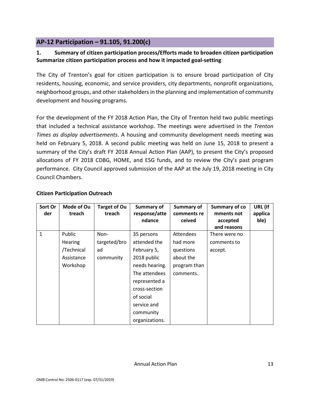# <span id="page-13-0"></span>**AP-12 Participation – 91.105, 91.200(c)**

### **1. Summary of citizen participation process/Efforts made to broaden citizen participation Summarize citizen participation process and how it impacted goal-setting**

The City of Trenton's goal for citizen participation is to ensure broad participation of City residents, housing, economic, and service providers, city departments, nonprofit organizations, neighborhood groups, and other stakeholders in the planning and implementation of community development and housing programs.

For the development of the FY 2018 Action Plan, the City of Trenton held two public meetings that included a technical assistance workshop. The meetings were advertised in the *Trenton Times as display advertisements*. A housing and community development needs meeting was held on February 5, 2018. A second public meeting was held on June 15, 2018 to present a summary of the City's draft FY 2018 Annual Action Plan (AAP), to present the City's proposed allocations of FY 2018 CDBG, HOME, and ESG funds, and to review the City's past program performance. City Council approved submission of the AAP at the July 19, 2018 meeting in City Council Chambers.

| Sort Or<br>der | Mode of Ou<br>treach | <b>Target of Ou</b><br>treach | Summary of<br>response/atte | Summary of<br>comments re | Summary of co<br>mments not | URL (If<br>applica |
|----------------|----------------------|-------------------------------|-----------------------------|---------------------------|-----------------------------|--------------------|
|                |                      |                               | ndance                      | ceived                    | accepted                    | ble)               |
|                |                      |                               |                             |                           | and reasons                 |                    |
| 1              | Public               | Non-                          | 35 persons                  | <b>Attendees</b>          | There were no               |                    |
|                | <b>Hearing</b>       | targeted/bro                  | attended the                | had more                  | comments to                 |                    |
|                | /Technical           | ad                            | February 5,                 | questions                 | accept.                     |                    |
|                | Assistance           | community                     | 2018 public                 | about the                 |                             |                    |
|                | Workshop             |                               | needs hearing.              | program than              |                             |                    |
|                |                      |                               | The attendees               | comments.                 |                             |                    |
|                |                      |                               | represented a               |                           |                             |                    |
|                |                      |                               | cross-section               |                           |                             |                    |
|                |                      |                               | of social                   |                           |                             |                    |
|                |                      |                               | service and                 |                           |                             |                    |
|                |                      |                               | community                   |                           |                             |                    |
|                |                      |                               | organizations.              |                           |                             |                    |

### **Citizen Participation Outreach**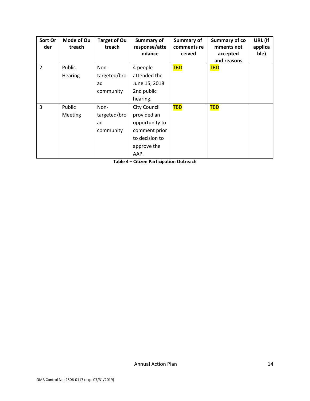| Sort Or<br>der | Mode of Ou<br>treach | <b>Target of Ou</b><br>treach           | Summary of<br>response/atte<br>ndance                                                               | Summary of<br>comments re<br>ceived | Summary of co<br>mments not<br>accepted<br>and reasons | URL (If<br>applica<br>ble) |
|----------------|----------------------|-----------------------------------------|-----------------------------------------------------------------------------------------------------|-------------------------------------|--------------------------------------------------------|----------------------------|
| $\overline{2}$ | Public<br>Hearing    | Non-<br>targeted/bro                    | 4 people<br>attended the                                                                            | <b>TBD</b>                          | <b>TBD</b>                                             |                            |
|                |                      | ad<br>community                         | June 15, 2018<br>2nd public                                                                         |                                     |                                                        |                            |
| 3              | Public<br>Meeting    | Non-<br>targeted/bro<br>ad<br>community | hearing.<br><b>City Council</b><br>provided an<br>opportunity to<br>comment prior<br>to decision to | <b>TBD</b>                          | <b>TBD</b>                                             |                            |
|                |                      |                                         | approve the<br>AAP.                                                                                 |                                     |                                                        |                            |

**Table 4 – Citizen Participation Outreach**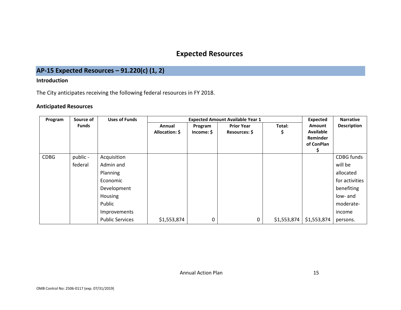# **Expected Resources**

# **AP-15 Expected Resources – 91.220(c) (1, 2)**

### **Introduction**

The City anticipates receiving the following federal resources in FY 2018.

### **Anticipated Resources**

<span id="page-15-1"></span><span id="page-15-0"></span>

| Program     | Source of    | <b>Uses of Funds</b>   |                | <b>Expected</b> | <b>Narrative</b>  |             |                  |                    |
|-------------|--------------|------------------------|----------------|-----------------|-------------------|-------------|------------------|--------------------|
|             | <b>Funds</b> |                        | Annual         | Program         | <b>Prior Year</b> | Total:      | <b>Amount</b>    | <b>Description</b> |
|             |              |                        | Allocation: \$ | Income: \$      | Resources: \$     | \$          | <b>Available</b> |                    |
|             |              |                        |                |                 |                   |             | Reminder         |                    |
|             |              |                        |                |                 |                   |             | of ConPlan       |                    |
|             |              |                        |                |                 |                   |             |                  |                    |
| <b>CDBG</b> | public -     | Acquisition            |                |                 |                   |             |                  | CDBG funds         |
|             | federal      | Admin and              |                |                 |                   |             |                  | will be            |
|             |              | Planning               |                |                 |                   |             |                  | allocated          |
|             |              | Economic               |                |                 |                   |             |                  | for activities     |
|             |              | Development            |                |                 |                   |             |                  | benefiting         |
|             |              | Housing                |                |                 |                   |             |                  | low- and           |
|             |              | Public                 |                |                 |                   |             |                  | moderate-          |
|             |              | Improvements           |                |                 |                   |             |                  | income             |
|             |              | <b>Public Services</b> | \$1,553,874    | 0               | 0                 | \$1,553,874 | \$1,553,874      | persons.           |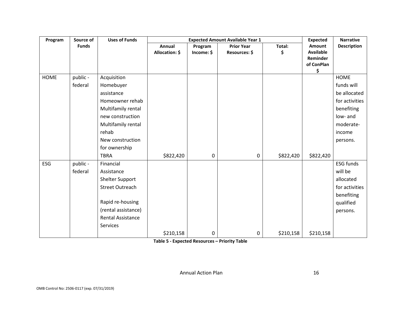| Program     | Source of    | <b>Uses of Funds</b><br><b>Expected Amount Available Year 1</b> |                |             |                   |           |                              | <b>Narrative</b>   |
|-------------|--------------|-----------------------------------------------------------------|----------------|-------------|-------------------|-----------|------------------------------|--------------------|
|             | <b>Funds</b> |                                                                 | Annual         | Program     | <b>Prior Year</b> | Total:    | Amount                       | <b>Description</b> |
|             |              |                                                                 | Allocation: \$ | Income: \$  | Resources: \$     | \$        | <b>Available</b><br>Reminder |                    |
|             |              |                                                                 |                |             |                   |           | of ConPlan                   |                    |
|             |              |                                                                 |                |             |                   |           | \$                           |                    |
| <b>HOME</b> | public -     | Acquisition                                                     |                |             |                   |           |                              | <b>HOME</b>        |
|             | federal      | Homebuyer                                                       |                |             |                   |           |                              | funds will         |
|             |              | assistance                                                      |                |             |                   |           |                              | be allocated       |
|             |              | Homeowner rehab                                                 |                |             |                   |           |                              | for activities     |
|             |              | Multifamily rental                                              |                |             |                   |           |                              | benefiting         |
|             |              | new construction                                                |                |             |                   |           |                              | low- and           |
|             |              | Multifamily rental                                              |                |             |                   |           |                              | moderate-          |
|             |              | rehab                                                           |                |             |                   |           |                              | income             |
|             |              | New construction                                                |                |             |                   |           |                              | persons.           |
|             |              | for ownership                                                   |                |             |                   |           |                              |                    |
|             |              | <b>TBRA</b>                                                     | \$822,420      | $\mathbf 0$ | $\mathbf 0$       | \$822,420 | \$822,420                    |                    |
| <b>ESG</b>  | public -     | Financial                                                       |                |             |                   |           |                              | <b>ESG funds</b>   |
|             | federal      | Assistance                                                      |                |             |                   |           |                              | will be            |
|             |              | Shelter Support                                                 |                |             |                   |           |                              | allocated          |
|             |              | <b>Street Outreach</b>                                          |                |             |                   |           |                              | for activities     |
|             |              |                                                                 |                |             |                   |           |                              | benefiting         |
|             |              | Rapid re-housing                                                |                |             |                   |           |                              | qualified          |
|             |              | (rental assistance)                                             |                |             |                   |           |                              | persons.           |
|             |              | <b>Rental Assistance</b>                                        |                |             |                   |           |                              |                    |
|             |              | Services                                                        |                |             |                   |           |                              |                    |
|             |              |                                                                 | \$210,158      | 0           | 0                 | \$210,158 | \$210,158                    |                    |

**Table 5 - Expected Resources – Priority Table**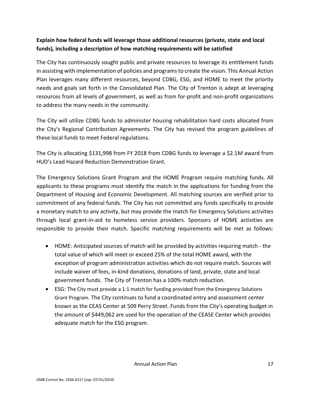# **Explain how federal funds will leverage those additional resources (private, state and local funds), including a description of how matching requirements will be satisfied**

The City has continuously sought public and private resources to leverage its entitlement funds in assisting with implementation of policies and programs to create the vision. This Annual Action Plan leverages many different resources, beyond CDBG, ESG, and HOME to meet the priority needs and goals set forth in the Consolidated Plan. The City of Trenton is adept at leveraging resources from all levels of government, as well as from for-profit and non-profit organizations to address the many needs in the community.

The City will utilize CDBG funds to administer housing rehabilitation hard costs allocated from the City's Regional Contribution Agreements. The City has revised the program guidelines of these local funds to meet Federal regulations.

The City is allocating \$131,998 from FY 2018 from CDBG funds to leverage a \$2.1M award from HUD's Lead Hazard Reduction Demonstration Grant.

The Emergency Solutions Grant Program and the HOME Program require matching funds. All applicants to these programs must identify the match in the applications for funding from the Department of Housing and Economic Development. All matching sources are verified prior to commitment of any federal funds. The City has not committed any funds specifically to provide a monetary match to any activity, but may provide the match for Emergency Solutions activities through local grant-in-aid to homeless service providers. Sponsors of HOME activities are responsible to provide their match. Specific matching requirements will be met as follows:

- HOME: Anticipated sources of match will be provided by activities requiring match the total value of which will meet or exceed 25% of the total HOME award, with the exception of program administration activities which do not require match. Sources will include waiver of fees, in-kind donations, donations of land, private, state and local government funds. The City of Trenton has a 100% match reduction.
- ESG: The City must provide a 1:1 match for funding provided from the Emergency Solutions Grant Program. The City continues to fund a coordinated entry and assessment center known as the CEAS Center at 509 Perry Street. Funds from the City's operating budget in the amount of \$449,062 are used for the operation of the CEASE Center which provides adequate match for the ESG program.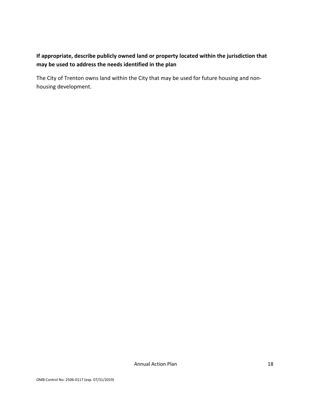# **If appropriate, describe publicly owned land or property located within the jurisdiction that may be used to address the needs identified in the plan**

The City of Trenton owns land within the City that may be used for future housing and nonhousing development.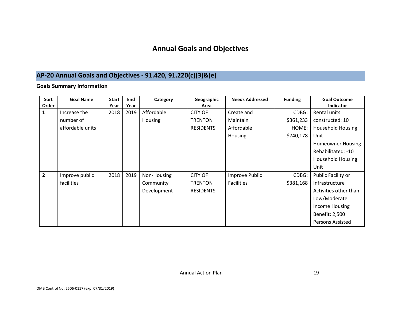# **Annual Goals and Objectives**

# **AP-20 Annual Goals and Objectives - 91.420, 91.220(c)(3)&(e)**

### **Goals Summary Information**

<span id="page-19-1"></span><span id="page-19-0"></span>

| Sort<br>Order  | <b>Goal Name</b> | <b>Start</b><br>Year | End<br>Year | Category    | Geographic<br>Area | <b>Needs Addressed</b> | <b>Funding</b> | <b>Goal Outcome</b><br><b>Indicator</b> |
|----------------|------------------|----------------------|-------------|-------------|--------------------|------------------------|----------------|-----------------------------------------|
| $\mathbf{1}$   | Increase the     | 2018                 | 2019        | Affordable  | <b>CITY OF</b>     | Create and             | CDBG:          | Rental units                            |
|                | number of        |                      |             | Housing     | <b>TRENTON</b>     | Maintain               | \$361,233      | constructed: 10                         |
|                | affordable units |                      |             |             | <b>RESIDENTS</b>   | Affordable             | HOME:          | <b>Household Housing</b>                |
|                |                  |                      |             |             |                    | Housing                | \$740,178      | Unit                                    |
|                |                  |                      |             |             |                    |                        |                | <b>Homeowner Housing</b>                |
|                |                  |                      |             |             |                    |                        |                | Rehabilitated: -10                      |
|                |                  |                      |             |             |                    |                        |                | <b>Household Housing</b>                |
|                |                  |                      |             |             |                    |                        |                | Unit                                    |
| $\overline{2}$ | Improve public   | 2018                 | 2019        | Non-Housing | <b>CITY OF</b>     | Improve Public         | CDBG:          | Public Facility or                      |
|                | facilities       |                      |             | Community   | <b>TRENTON</b>     | <b>Facilities</b>      | \$381,168      | Infrastructure                          |
|                |                  |                      |             | Development | <b>RESIDENTS</b>   |                        |                | Activities other than                   |
|                |                  |                      |             |             |                    |                        |                | Low/Moderate                            |
|                |                  |                      |             |             |                    |                        |                | Income Housing                          |
|                |                  |                      |             |             |                    |                        |                | Benefit: 2,500                          |
|                |                  |                      |             |             |                    |                        |                | <b>Persons Assisted</b>                 |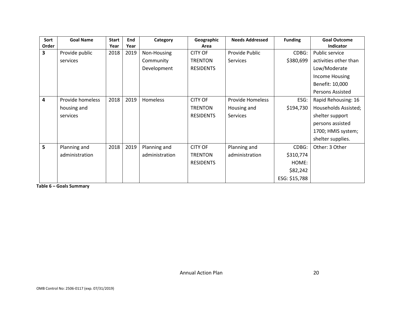| Sort           | <b>Goal Name</b> | <b>Start</b> | End  | Category       | Geographic       | <b>Needs Addressed</b>  | <b>Funding</b> | <b>Goal Outcome</b>   |
|----------------|------------------|--------------|------|----------------|------------------|-------------------------|----------------|-----------------------|
| Order          |                  | Year         | Year |                | Area             |                         |                | Indicator             |
| 3              | Provide public   | 2018         | 2019 | Non-Housing    | <b>CITY OF</b>   | Provide Public          | CDBG:          | Public service        |
|                | services         |              |      | Community      | <b>TRENTON</b>   | Services                | \$380,699      | activities other than |
|                |                  |              |      | Development    | <b>RESIDENTS</b> |                         |                | Low/Moderate          |
|                |                  |              |      |                |                  |                         |                | Income Housing        |
|                |                  |              |      |                |                  |                         |                | Benefit: 10,000       |
|                |                  |              |      |                |                  |                         |                | Persons Assisted      |
| $\overline{4}$ | Provide homeless | 2018         | 2019 | Homeless       | <b>CITY OF</b>   | <b>Provide Homeless</b> | ESG:           | Rapid Rehousing: 16   |
|                | housing and      |              |      |                | <b>TRENTON</b>   | Housing and             | \$194,730      | Households Assisted;  |
|                | services         |              |      |                | <b>RESIDENTS</b> | Services                |                | shelter support       |
|                |                  |              |      |                |                  |                         |                | persons assisted      |
|                |                  |              |      |                |                  |                         |                | 1700; HMIS system;    |
|                |                  |              |      |                |                  |                         |                | shelter supplies.     |
| 5              | Planning and     | 2018         | 2019 | Planning and   | <b>CITY OF</b>   | Planning and            | CDBG:          | Other: 3 Other        |
|                | administration   |              |      | administration | <b>TRENTON</b>   | administration          | \$310,774      |                       |
|                |                  |              |      |                | <b>RESIDENTS</b> |                         | HOME:          |                       |
|                |                  |              |      |                |                  |                         | \$82,242       |                       |
|                |                  |              |      |                |                  |                         | ESG: \$15,788  |                       |

**Table 6 – Goals Summary**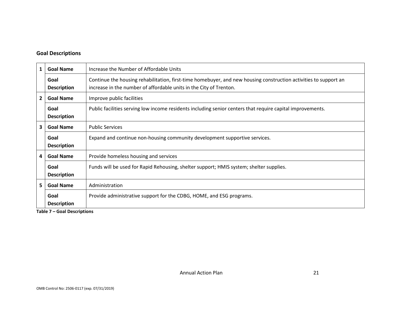### **Goal Descriptions**

| $\mathbf{1}$                                                    | <b>Goal Name</b>           | Increase the Number of Affordable Units                                                                                                                                                |  |
|-----------------------------------------------------------------|----------------------------|----------------------------------------------------------------------------------------------------------------------------------------------------------------------------------------|--|
|                                                                 | Goal<br><b>Description</b> | Continue the housing rehabilitation, first-time homebuyer, and new housing construction activities to support an<br>increase in the number of affordable units in the City of Trenton. |  |
| $\overline{2}$<br><b>Goal Name</b><br>Improve public facilities |                            |                                                                                                                                                                                        |  |
|                                                                 | Goal<br><b>Description</b> | Public facilities serving low income residents including senior centers that require capital improvements.                                                                             |  |
| 3<br><b>Goal Name</b><br><b>Public Services</b>                 |                            |                                                                                                                                                                                        |  |
|                                                                 | Goal<br><b>Description</b> | Expand and continue non-housing community development supportive services.                                                                                                             |  |
| <b>Goal Name</b><br>Provide homeless housing and services<br>4  |                            |                                                                                                                                                                                        |  |
|                                                                 | Goal<br><b>Description</b> | Funds will be used for Rapid Rehousing, shelter support; HMIS system; shelter supplies.                                                                                                |  |
| 5                                                               | <b>Goal Name</b>           | Administration                                                                                                                                                                         |  |
|                                                                 | Goal<br><b>Description</b> | Provide administrative support for the CDBG, HOME, and ESG programs.                                                                                                                   |  |

**Table 7 – Goal Descriptions**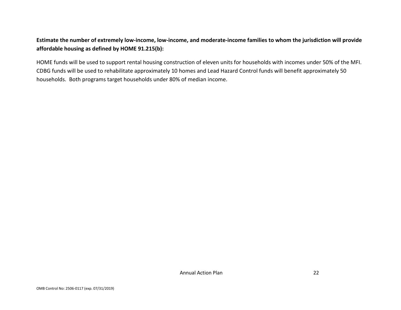## **Estimate the number of extremely low-income, low-income, and moderate-income families to whom the jurisdiction will provide affordable housing as defined by HOME 91.215(b):**

HOME funds will be used to support rental housing construction of eleven units for households with incomes under 50% of the MFI. CDBG funds will be used to rehabilitate approximately 10 homes and Lead Hazard Control funds will benefit approximately 50 households. Both programs target households under 80% of median income.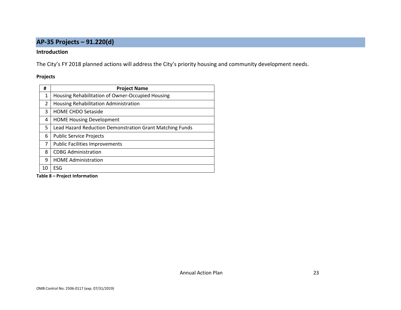# **AP-35 Projects – 91.220(d)**

#### **Introduction**

The City's FY 2018 planned actions will address the City's priority housing and community development needs.

#### **Projects**

<span id="page-23-0"></span>

| #  | <b>Project Name</b>                                      |
|----|----------------------------------------------------------|
| 1  | Housing Rehabilitation of Owner-Occupied Housing         |
| 2  | Housing Rehabilitation Administration                    |
| 3  | <b>HOME CHDO Setaside</b>                                |
| 4  | <b>HOME Housing Development</b>                          |
| 5. | Lead Hazard Reduction Demonstration Grant Matching Funds |
| 6  | <b>Public Service Projects</b>                           |
| 7  | <b>Public Facilities Improvements</b>                    |
| 8  | <b>CDBG Administration</b>                               |
| q  | <b>HOME Administration</b>                               |
| 10 | ESG                                                      |

**Table 8 – Project Information**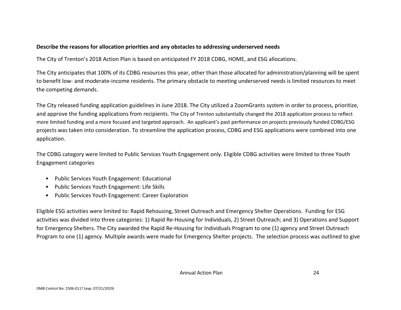### **Describe the reasons for allocation priorities and any obstacles to addressing underserved needs**

The City of Trenton's 2018 Action Plan is based on anticipated FY 2018 CDBG, HOME, and ESG allocations.

The City anticipates that 100% of its CDBG resources this year, other than those allocated for administration/planning will be spent to benefit low- and moderate-income residents. The primary obstacle to meeting underserved needs is limited resources to meet the competing demands.

The City released funding application guidelines in June 2018. The City utilized a ZoomGrants system in order to process, prioritize, and approve the funding applications from recipients. The City of Trenton substantially changed the 2018 application process to reflect more limited funding and a more focused and targeted approach. An applicant's past performance on projects previously funded CDBG/ESG projects was taken into consideration. To streamline the application process, CDBG and ESG applications were combined into one application.

The CDBG category were limited to Public Services Youth Engagement only. Eligible CDBG activities were limited to three Youth Engagement categories

- Public Services Youth Engagement: Educational
- Public Services Youth Engagement: Life Skills
- Public Services Youth Engagement: Career Exploration

Eligible ESG activities were limited to: Rapid Rehousing, Street Outreach and Emergency Shelter Operations. Funding for ESG activities was divided into three categories: 1) Rapid Re-Housing for Individuals, 2) Street Outreach; and 3) Operations and Support for Emergency Shelters. The City awarded the Rapid Re-Housing for Individuals Program to one (1) agency and Street Outreach Program to one (1) agency. Multiple awards were made for Emergency Shelter projects. The selection process was outlined to give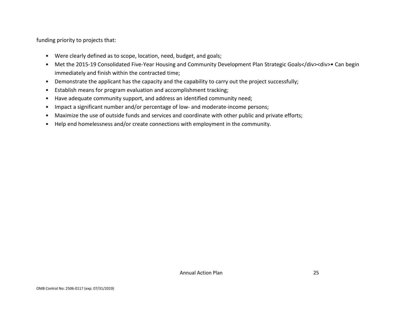funding priority to projects that:

- Were clearly defined as to scope, location, need, budget, and goals;
- Met the 2015-19 Consolidated Five-Year Housing and Community Development Plan Strategic Goals</div><div>• Can begin immediately and finish within the contracted time;
- Demonstrate the applicant has the capacity and the capability to carry out the project successfully;
- Establish means for program evaluation and accomplishment tracking;
- Have adequate community support, and address an identified community need;
- Impact a significant number and/or percentage of low- and moderate-income persons;
- Maximize the use of outside funds and services and coordinate with other public and private efforts;
- Help end homelessness and/or create connections with employment in the community.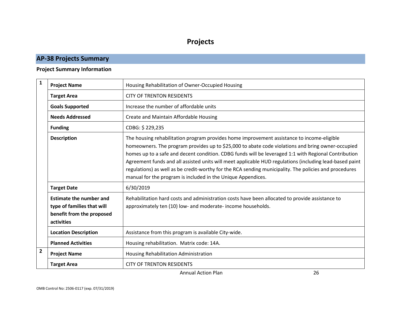# **Projects**

# **AP-38 Projects Summary**

### **Project Summary Information**

<span id="page-26-1"></span><span id="page-26-0"></span>

| $\mathbf{1}$ | <b>Project Name</b>                                                                                     | Housing Rehabilitation of Owner-Occupied Housing                                                                                                                                                                                                                                                                                                                                                                                                                                                                                                                                             |  |
|--------------|---------------------------------------------------------------------------------------------------------|----------------------------------------------------------------------------------------------------------------------------------------------------------------------------------------------------------------------------------------------------------------------------------------------------------------------------------------------------------------------------------------------------------------------------------------------------------------------------------------------------------------------------------------------------------------------------------------------|--|
|              | <b>Target Area</b>                                                                                      | <b>CITY OF TRENTON RESIDENTS</b>                                                                                                                                                                                                                                                                                                                                                                                                                                                                                                                                                             |  |
|              | <b>Goals Supported</b>                                                                                  | Increase the number of affordable units                                                                                                                                                                                                                                                                                                                                                                                                                                                                                                                                                      |  |
|              | <b>Needs Addressed</b>                                                                                  | Create and Maintain Affordable Housing                                                                                                                                                                                                                                                                                                                                                                                                                                                                                                                                                       |  |
|              | <b>Funding</b>                                                                                          | CDBG: \$229,235                                                                                                                                                                                                                                                                                                                                                                                                                                                                                                                                                                              |  |
|              | <b>Description</b>                                                                                      | The housing rehabilitation program provides home improvement assistance to income-eligible<br>homeowners. The program provides up to \$25,000 to abate code violations and bring owner-occupied<br>homes up to a safe and decent condition. CDBG funds will be leveraged 1:1 with Regional Contribution<br>Agreement funds and all assisted units will meet applicable HUD regulations (including lead-based paint<br>regulations) as well as be credit-worthy for the RCA sending municipality. The policies and procedures<br>manual for the program is included in the Unique Appendices. |  |
|              | <b>Target Date</b>                                                                                      | 6/30/2019                                                                                                                                                                                                                                                                                                                                                                                                                                                                                                                                                                                    |  |
|              | <b>Estimate the number and</b><br>type of families that will<br>benefit from the proposed<br>activities | Rehabilitation hard costs and administration costs have been allocated to provide assistance to<br>approximately ten (10) low- and moderate- income households.                                                                                                                                                                                                                                                                                                                                                                                                                              |  |
|              | <b>Location Description</b>                                                                             | Assistance from this program is available City-wide.                                                                                                                                                                                                                                                                                                                                                                                                                                                                                                                                         |  |
|              | <b>Planned Activities</b>                                                                               | Housing rehabilitation. Matrix code: 14A.                                                                                                                                                                                                                                                                                                                                                                                                                                                                                                                                                    |  |
| $\mathbf{2}$ | <b>Project Name</b>                                                                                     | Housing Rehabilitation Administration                                                                                                                                                                                                                                                                                                                                                                                                                                                                                                                                                        |  |
|              | <b>Target Area</b>                                                                                      | <b>CITY OF TRENTON RESIDENTS</b>                                                                                                                                                                                                                                                                                                                                                                                                                                                                                                                                                             |  |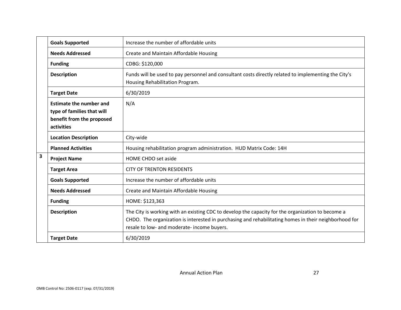|                         | <b>Goals Supported</b>                                                                                  | Increase the number of affordable units                                                                                                                                                                                                                   |
|-------------------------|---------------------------------------------------------------------------------------------------------|-----------------------------------------------------------------------------------------------------------------------------------------------------------------------------------------------------------------------------------------------------------|
|                         | <b>Needs Addressed</b>                                                                                  | Create and Maintain Affordable Housing                                                                                                                                                                                                                    |
|                         | <b>Funding</b>                                                                                          | CDBG: \$120,000                                                                                                                                                                                                                                           |
|                         | <b>Description</b>                                                                                      | Funds will be used to pay personnel and consultant costs directly related to implementing the City's<br>Housing Rehabilitation Program.                                                                                                                   |
|                         | <b>Target Date</b>                                                                                      | 6/30/2019                                                                                                                                                                                                                                                 |
|                         | <b>Estimate the number and</b><br>type of families that will<br>benefit from the proposed<br>activities | N/A                                                                                                                                                                                                                                                       |
|                         | <b>Location Description</b>                                                                             | City-wide                                                                                                                                                                                                                                                 |
|                         | <b>Planned Activities</b>                                                                               | Housing rehabilitation program administration. HUD Matrix Code: 14H                                                                                                                                                                                       |
| $\overline{\mathbf{3}}$ | <b>Project Name</b>                                                                                     | HOME CHDO set aside                                                                                                                                                                                                                                       |
|                         | <b>Target Area</b>                                                                                      | <b>CITY OF TRENTON RESIDENTS</b>                                                                                                                                                                                                                          |
|                         | <b>Goals Supported</b>                                                                                  | Increase the number of affordable units                                                                                                                                                                                                                   |
|                         | <b>Needs Addressed</b>                                                                                  | Create and Maintain Affordable Housing                                                                                                                                                                                                                    |
|                         | <b>Funding</b>                                                                                          | HOME: \$123,363                                                                                                                                                                                                                                           |
|                         | <b>Description</b>                                                                                      | The City is working with an existing CDC to develop the capacity for the organization to become a<br>CHDO. The organization is interested in purchasing and rehabilitating homes in their neighborhood for<br>resale to low- and moderate- income buyers. |
|                         | <b>Target Date</b>                                                                                      | 6/30/2019                                                                                                                                                                                                                                                 |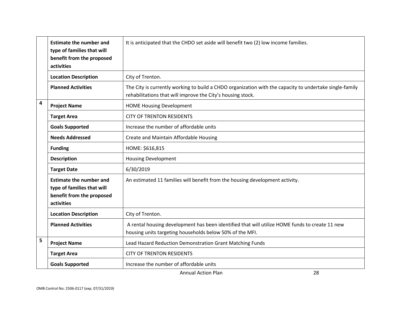|   | <b>Estimate the number and</b><br>type of families that will<br>benefit from the proposed<br>activities | It is anticipated that the CHDO set aside will benefit two (2) low income families.                                                                                    |
|---|---------------------------------------------------------------------------------------------------------|------------------------------------------------------------------------------------------------------------------------------------------------------------------------|
|   | <b>Location Description</b>                                                                             | City of Trenton.                                                                                                                                                       |
|   | <b>Planned Activities</b>                                                                               | The City is currently working to build a CHDO organization with the capacity to undertake single-family<br>rehabilitations that will improve the City's housing stock. |
| 4 | <b>Project Name</b>                                                                                     | <b>HOME Housing Development</b>                                                                                                                                        |
|   | <b>Target Area</b>                                                                                      | <b>CITY OF TRENTON RESIDENTS</b>                                                                                                                                       |
|   | <b>Goals Supported</b>                                                                                  | Increase the number of affordable units                                                                                                                                |
|   | <b>Needs Addressed</b>                                                                                  | Create and Maintain Affordable Housing                                                                                                                                 |
|   | <b>Funding</b>                                                                                          | HOME: \$616,815                                                                                                                                                        |
|   | <b>Description</b>                                                                                      | <b>Housing Development</b>                                                                                                                                             |
|   | <b>Target Date</b>                                                                                      | 6/30/2019                                                                                                                                                              |
|   | <b>Estimate the number and</b><br>type of families that will<br>benefit from the proposed<br>activities | An estimated 11 families will benefit from the housing development activity.                                                                                           |
|   | <b>Location Description</b>                                                                             | City of Trenton.                                                                                                                                                       |
|   | <b>Planned Activities</b>                                                                               | A rental housing development has been identified that will utilize HOME funds to create 11 new<br>housing units targeting households below 50% of the MFI.             |
| 5 | <b>Project Name</b>                                                                                     | Lead Hazard Reduction Demonstration Grant Matching Funds                                                                                                               |
|   | <b>Target Area</b>                                                                                      | <b>CITY OF TRENTON RESIDENTS</b>                                                                                                                                       |
|   | <b>Goals Supported</b>                                                                                  | Increase the number of affordable units                                                                                                                                |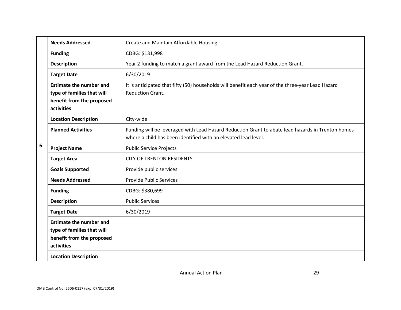|   | <b>Needs Addressed</b>                                                                                                                 | Create and Maintain Affordable Housing                                                                                                                              |
|---|----------------------------------------------------------------------------------------------------------------------------------------|---------------------------------------------------------------------------------------------------------------------------------------------------------------------|
|   | <b>Funding</b>                                                                                                                         | CDBG: \$131,998                                                                                                                                                     |
|   | <b>Description</b>                                                                                                                     | Year 2 funding to match a grant award from the Lead Hazard Reduction Grant.                                                                                         |
|   | <b>Target Date</b>                                                                                                                     | 6/30/2019                                                                                                                                                           |
|   | <b>Estimate the number and</b><br>type of families that will<br>benefit from the proposed<br>activities                                | It is anticipated that fifty (50) households will benefit each year of the three-year Lead Hazard<br><b>Reduction Grant.</b>                                        |
|   | <b>Location Description</b>                                                                                                            | City-wide                                                                                                                                                           |
|   | <b>Planned Activities</b>                                                                                                              | Funding will be leveraged with Lead Hazard Reduction Grant to abate lead hazards in Trenton homes<br>where a child has been identified with an elevated lead level. |
| 6 | <b>Project Name</b>                                                                                                                    | <b>Public Service Projects</b>                                                                                                                                      |
|   | <b>Target Area</b>                                                                                                                     | <b>CITY OF TRENTON RESIDENTS</b>                                                                                                                                    |
|   | <b>Goals Supported</b>                                                                                                                 | Provide public services                                                                                                                                             |
|   | <b>Needs Addressed</b>                                                                                                                 | <b>Provide Public Services</b>                                                                                                                                      |
|   | <b>Funding</b>                                                                                                                         | CDBG: \$380,699                                                                                                                                                     |
|   | <b>Description</b>                                                                                                                     | <b>Public Services</b>                                                                                                                                              |
|   | <b>Target Date</b>                                                                                                                     | 6/30/2019                                                                                                                                                           |
|   | <b>Estimate the number and</b><br>type of families that will<br>benefit from the proposed<br>activities<br><b>Location Description</b> |                                                                                                                                                                     |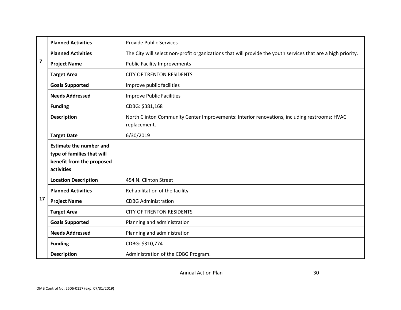|                                                                                                         | <b>Planned Activities</b>   | <b>Provide Public Services</b>                                                                               |
|---------------------------------------------------------------------------------------------------------|-----------------------------|--------------------------------------------------------------------------------------------------------------|
|                                                                                                         | <b>Planned Activities</b>   | The City will select non-profit organizations that will provide the youth services that are a high priority. |
| $\overline{\mathbf{z}}$                                                                                 | <b>Project Name</b>         | <b>Public Facility Improvements</b>                                                                          |
|                                                                                                         | <b>Target Area</b>          | <b>CITY OF TRENTON RESIDENTS</b>                                                                             |
|                                                                                                         | <b>Goals Supported</b>      | Improve public facilities                                                                                    |
|                                                                                                         | <b>Needs Addressed</b>      | <b>Improve Public Facilities</b>                                                                             |
|                                                                                                         | <b>Funding</b>              | CDBG: \$381,168                                                                                              |
| <b>Description</b><br>replacement.                                                                      |                             | North Clinton Community Center Improvements: Interior renovations, including restrooms; HVAC                 |
| 6/30/2019<br><b>Target Date</b>                                                                         |                             |                                                                                                              |
| <b>Estimate the number and</b><br>type of families that will<br>benefit from the proposed<br>activities |                             |                                                                                                              |
|                                                                                                         | <b>Location Description</b> | 454 N. Clinton Street                                                                                        |
|                                                                                                         | <b>Planned Activities</b>   | Rehabilitation of the facility                                                                               |
| 17                                                                                                      | <b>Project Name</b>         | <b>CDBG Administration</b>                                                                                   |
|                                                                                                         | <b>Target Area</b>          | <b>CITY OF TRENTON RESIDENTS</b>                                                                             |
|                                                                                                         | <b>Goals Supported</b>      | Planning and administration                                                                                  |
|                                                                                                         | <b>Needs Addressed</b>      | Planning and administration                                                                                  |
|                                                                                                         | <b>Funding</b>              | CDBG: \$310,774                                                                                              |
|                                                                                                         | <b>Description</b>          | Administration of the CDBG Program.                                                                          |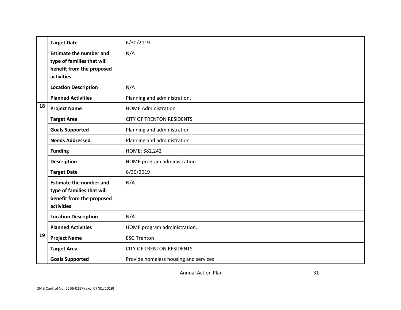|    | <b>Target Date</b>                                                                                      | 6/30/2019                             |
|----|---------------------------------------------------------------------------------------------------------|---------------------------------------|
|    | <b>Estimate the number and</b><br>type of families that will<br>benefit from the proposed<br>activities | N/A                                   |
|    | <b>Location Description</b>                                                                             | N/A                                   |
|    | <b>Planned Activities</b>                                                                               | Planning and administration.          |
| 18 | <b>Project Name</b>                                                                                     | <b>HOME Administration</b>            |
|    | <b>Target Area</b>                                                                                      | <b>CITY OF TRENTON RESIDENTS</b>      |
|    | <b>Goals Supported</b>                                                                                  | Planning and administration           |
|    | <b>Needs Addressed</b>                                                                                  | Planning and administration           |
|    | <b>Funding</b>                                                                                          | HOME: \$82,242                        |
|    | <b>Description</b>                                                                                      | HOME program administration.          |
|    | <b>Target Date</b>                                                                                      | 6/30/2019                             |
|    | <b>Estimate the number and</b><br>type of families that will<br>benefit from the proposed<br>activities | N/A                                   |
|    | <b>Location Description</b>                                                                             | N/A                                   |
|    | <b>Planned Activities</b>                                                                               | HOME program administration.          |
| 19 | <b>Project Name</b>                                                                                     | <b>ESG Trenton</b>                    |
|    | <b>Target Area</b>                                                                                      | <b>CITY OF TRENTON RESIDENTS</b>      |
|    | <b>Goals Supported</b>                                                                                  | Provide homeless housing and services |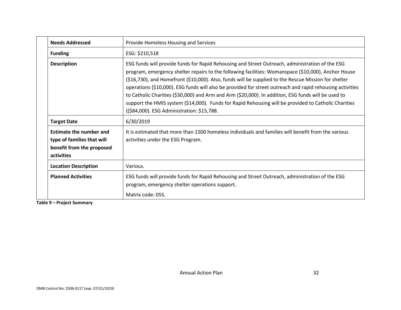| <b>Needs Addressed</b>                                                                                  | Provide Homeless Housing and Services                                                                                                                                                                                                                                                                                                                                                                                                                                                                                                                                                                                                                                                    |
|---------------------------------------------------------------------------------------------------------|------------------------------------------------------------------------------------------------------------------------------------------------------------------------------------------------------------------------------------------------------------------------------------------------------------------------------------------------------------------------------------------------------------------------------------------------------------------------------------------------------------------------------------------------------------------------------------------------------------------------------------------------------------------------------------------|
| <b>Funding</b>                                                                                          | ESG: \$210,518                                                                                                                                                                                                                                                                                                                                                                                                                                                                                                                                                                                                                                                                           |
| <b>Description</b>                                                                                      | ESG funds will provide funds for Rapid Rehousing and Street Outreach, administration of the ESG<br>program, emergency shelter repairs to the following facilities: Womanspace (\$10,000), Anchor House<br>(\$16,730), and Homefront (\$10,000). Also, funds will be supplied to the Rescue Mission for shelter<br>operations (\$10,000). ESG funds will also be provided for street outreach and rapid rehousing activities<br>to Catholic Charities (\$30,000) and Arm and Arm (\$20,000). In addition, ESG funds will be used to<br>support the HMIS system (\$14,000). Funds for Rapid Rehousing will be provided to Catholic Charities<br>((\$84,000). ESG Administration: \$15,788. |
| <b>Target Date</b>                                                                                      | 6/30/2019                                                                                                                                                                                                                                                                                                                                                                                                                                                                                                                                                                                                                                                                                |
| <b>Estimate the number and</b><br>type of families that will<br>benefit from the proposed<br>activities | It is estimated that more than 1500 homeless individuals and families will benefit from the various<br>activities under the ESG Program.                                                                                                                                                                                                                                                                                                                                                                                                                                                                                                                                                 |
| <b>Location Description</b>                                                                             | Various.                                                                                                                                                                                                                                                                                                                                                                                                                                                                                                                                                                                                                                                                                 |
| <b>Planned Activities</b>                                                                               | ESG funds will provide funds for Rapid Rehousing and Street Outreach, administration of the ESG<br>program, emergency shelter operations support.<br>Matrix code: 05S.                                                                                                                                                                                                                                                                                                                                                                                                                                                                                                                   |

**Table 9 – Project Summary**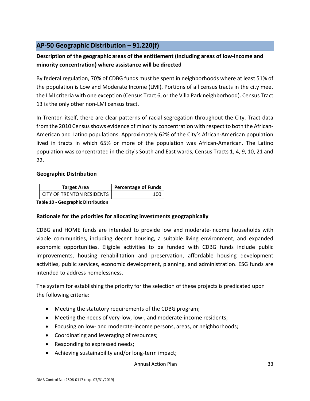# <span id="page-33-0"></span>**AP-50 Geographic Distribution – 91.220(f)**

# **Description of the geographic areas of the entitlement (including areas of low-income and minority concentration) where assistance will be directed**

By federal regulation, 70% of CDBG funds must be spent in neighborhoods where at least 51% of the population is Low and Moderate Income (LMI). Portions of all census tracts in the city meet the LMI criteria with one exception (Census Tract 6, or the Villa Park neighborhood). Census Tract 13 is the only other non-LMI census tract.

In Trenton itself, there are clear patterns of racial segregation throughout the City. Tract data from the 2010 Census shows evidence of minority concentration with respect to both the African-American and Latino populations. Approximately 62% of the City's African-American population lived in tracts in which 65% or more of the population was African-American. The Latino population was concentrated in the city's South and East wards, Census Tracts 1, 4, 9, 10, 21 and 22.

### **Geographic Distribution**

| Target Area                      | <b>Percentage of Funds</b> |
|----------------------------------|----------------------------|
| <b>CITY OF TRENTON RESIDENTS</b> | 100                        |

**Table 10 - Geographic Distribution** 

### **Rationale for the priorities for allocating investments geographically**

CDBG and HOME funds are intended to provide low and moderate-income households with viable communities, including decent housing, a suitable living environment, and expanded economic opportunities. Eligible activities to be funded with CDBG funds include public improvements, housing rehabilitation and preservation, affordable housing development activities, public services, economic development, planning, and administration. ESG funds are intended to address homelessness.

The system for establishing the priority for the selection of these projects is predicated upon the following criteria:

- Meeting the statutory requirements of the CDBG program;
- Meeting the needs of very-low, low-, and moderate-income residents;
- Focusing on low- and moderate-income persons, areas, or neighborhoods;
- Coordinating and leveraging of resources;
- Responding to expressed needs;
- Achieving sustainability and/or long-term impact;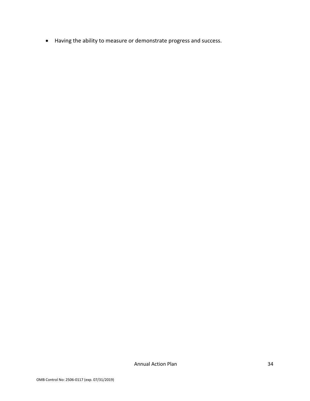• Having the ability to measure or demonstrate progress and success.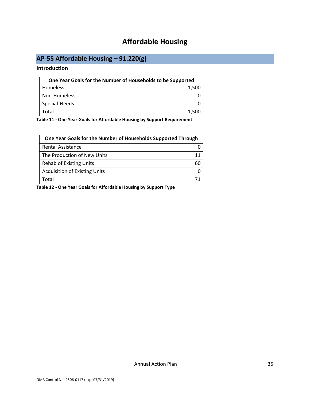# **Affordable Housing**

# <span id="page-35-1"></span><span id="page-35-0"></span>**AP-55 Affordable Housing – 91.220(g)**

#### **Introduction**

| One Year Goals for the Number of Households to be Supported |       |
|-------------------------------------------------------------|-------|
| <b>Homeless</b>                                             | 1,500 |
| Non-Homeless                                                |       |
| Special-Needs                                               |       |
| Total                                                       | 1.500 |

**Table 11 - One Year Goals for Affordable Housing by Support Requirement**

| One Year Goals for the Number of Households Supported Through |    |
|---------------------------------------------------------------|----|
| Rental Assistance                                             |    |
| The Production of New Units                                   | 11 |
| <b>Rehab of Existing Units</b>                                | 60 |
| <b>Acquisition of Existing Units</b>                          |    |
| Total                                                         |    |

**Table 12 - One Year Goals for Affordable Housing by Support Type**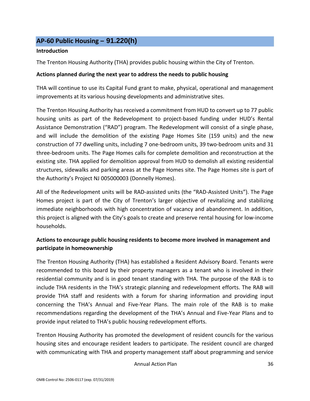### <span id="page-36-0"></span>**AP-60 Public Housing** *–* **91.220(h)**

#### **Introduction**

The Trenton Housing Authority (THA) provides public housing within the City of Trenton.

### **Actions planned during the next year to address the needs to public housing**

THA will continue to use its Capital Fund grant to make, physical, operational and management improvements at its various housing developments and administrative sites.

The Trenton Housing Authority has received a commitment from HUD to convert up to 77 public housing units as part of the Redevelopment to project-based funding under HUD's Rental Assistance Demonstration ("RAD") program. The Redevelopment will consist of a single phase, and will include the demolition of the existing Page Homes Site (159 units) and the new construction of 77 dwelling units, including 7 one-bedroom units, 39 two-bedroom units and 31 three-bedroom units. The Page Homes calls for complete demolition and reconstruction at the existing site. THA applied for demolition approval from HUD to demolish all existing residential structures, sidewalks and parking areas at the Page Homes site. The Page Homes site is part of the Authority's Project NJ 005000003 (Donnelly Homes).

All of the Redevelopment units will be RAD-assisted units (the "RAD-Assisted Units"). The Page Homes project is part of the City of Trenton's larger objective of revitalizing and stabilizing immediate neighborhoods with high concentration of vacancy and abandonment. In addition, this project is aligned with the City's goals to create and preserve rental housing for low-income households.

### **Actions to encourage public housing residents to become more involved in management and participate in homeownership**

The Trenton Housing Authority (THA) has established a Resident Advisory Board. Tenants were recommended to this board by their property managers as a tenant who is involved in their residential community and is in good tenant standing with THA. The purpose of the RAB is to include THA residents in the THA's strategic planning and redevelopment efforts. The RAB will provide THA staff and residents with a forum for sharing information and providing input concerning the THA's Annual and Five-Year Plans. The main role of the RAB is to make recommendations regarding the development of the THA's Annual and Five-Year Plans and to provide input related to THA's public housing redevelopment efforts.

Trenton Housing Authority has promoted the development of resident councils for the various housing sites and encourage resident leaders to participate. The resident council are charged with communicating with THA and property management staff about programming and service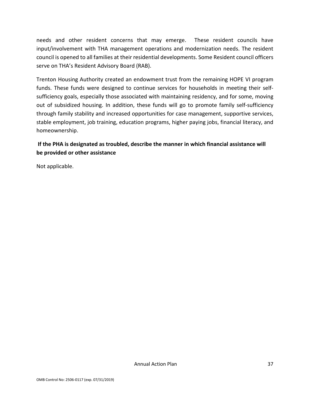needs and other resident concerns that may emerge. These resident councils have input/involvement with THA management operations and modernization needs. The resident council is opened to all families at their residential developments. Some Resident council officers serve on THA's Resident Advisory Board (RAB).

Trenton Housing Authority created an endowment trust from the remaining HOPE VI program funds. These funds were designed to continue services for households in meeting their selfsufficiency goals, especially those associated with maintaining residency, and for some, moving out of subsidized housing. In addition, these funds will go to promote family self-sufficiency through family stability and increased opportunities for case management, supportive services, stable employment, job training, education programs, higher paying jobs, financial literacy, and homeownership.

### **If the PHA is designated as troubled, describe the manner in which financial assistance will be provided or other assistance**

Not applicable.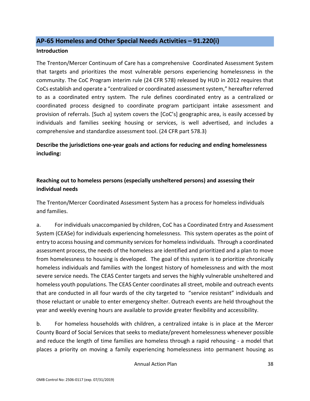### <span id="page-38-0"></span>**AP-65 Homeless and Other Special Needs Activities – 91.220(i)**

#### **Introduction**

The Trenton/Mercer Continuum of Care has a comprehensive Coordinated Assessment System that targets and prioritizes the most vulnerable persons experiencing homelessness in the community. The CoC Program interim rule (24 CFR 578) released by HUD in 2012 requires that CoCs establish and operate a "centralized or coordinated assessment system," hereafter referred to as a coordinated entry system. The rule defines coordinated entry as a centralized or coordinated process designed to coordinate program participant intake assessment and provision of referrals. [Such a] system covers the [CoC's] geographic area, is easily accessed by individuals and families seeking housing or services, is well advertised, and includes a comprehensive and standardize assessment tool. (24 CFR part 578.3)

**Describe the jurisdictions one-year goals and actions for reducing and ending homelessness including:**

### **Reaching out to homeless persons (especially unsheltered persons) and assessing their individual needs**

The Trenton/Mercer Coordinated Assessment System has a process for homeless individuals and families.

a. For individuals unaccompanied by children, CoC has a Coordinated Entry and Assessment System (CEASe) for individuals experiencing homelessness. This system operates as the point of entry to access housing and community services for homeless individuals. Through a coordinated assessment process, the needs of the homeless are identified and prioritized and a plan to move from homelessness to housing is developed. The goal of this system is to prioritize chronically homeless individuals and families with the longest history of homelessness and with the most severe service needs. The CEAS Center targets and serves the highly vulnerable unsheltered and homeless youth populations. The CEAS Center coordinates all street, mobile and outreach events that are conducted in all four wards of the city targeted to "service resistant" individuals and those reluctant or unable to enter emergency shelter. Outreach events are held throughout the year and weekly evening hours are available to provide greater flexibility and accessibility.

b. For homeless households with children, a centralized intake is in place at the Mercer County Board of Social Services that seeks to mediate/prevent homelessness whenever possible and reduce the length of time families are homeless through a rapid rehousing - a model that places a priority on moving a family experiencing homelessness into permanent housing as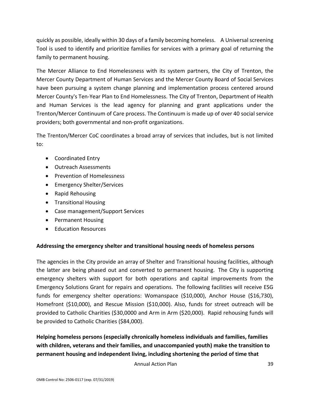quickly as possible, ideally within 30 days of a family becoming homeless. A Universal screening Tool is used to identify and prioritize families for services with a primary goal of returning the family to permanent housing.

The Mercer Alliance to End Homelessness with its system partners, the City of Trenton, the Mercer County Department of Human Services and the Mercer County Board of Social Services have been pursuing a system change planning and implementation process centered around Mercer County's Ten-Year Plan to End Homelessness. The City of Trenton, Department of Health and Human Services is the lead agency for planning and grant applications under the Trenton/Mercer Continuum of Care process. The Continuum is made up of over 40 social service providers; both governmental and non-profit organizations.

The Trenton/Mercer CoC coordinates a broad array of services that includes, but is not limited to:

- Coordinated Entry
- Outreach Assessments
- Prevention of Homelessness
- Emergency Shelter/Services
- Rapid Rehousing
- Transitional Housing
- Case management/Support Services
- Permanent Housing
- Education Resources

### **Addressing the emergency shelter and transitional housing needs of homeless persons**

The agencies in the City provide an array of Shelter and Transitional housing facilities, although the latter are being phased out and converted to permanent housing. The City is supporting emergency shelters with support for both operations and capital improvements from the Emergency Solutions Grant for repairs and operations. The following facilities will receive ESG funds for emergency shelter operations: Womanspace (\$10,000), Anchor House (\$16,730), Homefront (\$10,000), and Rescue Mission (\$10,000). Also, funds for street outreach will be provided to Catholic Charities (\$30,0000 and Arm in Arm (\$20,000). Rapid rehousing funds will be provided to Catholic Charities (\$84,000).

**Helping homeless persons (especially chronically homeless individuals and families, families with children, veterans and their families, and unaccompanied youth) make the transition to permanent housing and independent living, including shortening the period of time that**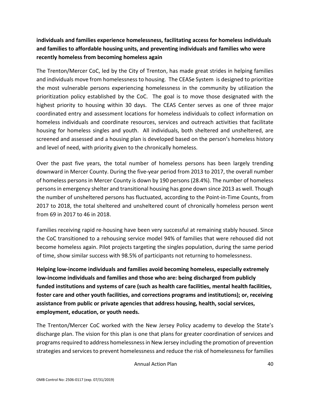**individuals and families experience homelessness, facilitating access for homeless individuals and families to affordable housing units, and preventing individuals and families who were recently homeless from becoming homeless again**

The Trenton/Mercer CoC, led by the City of Trenton, has made great strides in helping families and individuals move from homelessness to housing. The CEASe System is designed to prioritize the most vulnerable persons experiencing homelessness in the community by utilization the prioritization policy established by the CoC. The goal is to move those designated with the highest priority to housing within 30 days. The CEAS Center serves as one of three major coordinated entry and assessment locations for homeless individuals to collect information on homeless individuals and coordinate resources, services and outreach activities that facilitate housing for homeless singles and youth. All individuals, both sheltered and unsheltered, are screened and assessed and a housing plan is developed based on the person's homeless history and level of need, with priority given to the chronically homeless.

Over the past five years, the total number of homeless persons has been largely trending downward in Mercer County. During the five-year period from 2013 to 2017, the overall number of homeless persons in Mercer County is down by 190 persons (28.4%). The number of homeless persons in emergency shelter and transitional housing has gone down since 2013 as well. Though the number of unsheltered persons has fluctuated, according to the Point-in-Time Counts, from 2017 to 2018, the total sheltered and unsheltered count of chronically homeless person went from 69 in 2017 to 46 in 2018.

Families receiving rapid re-housing have been very successful at remaining stably housed. Since the CoC transitioned to a rehousing service model 94% of families that were rehoused did not become homeless again. Pilot projects targeting the singles population, during the same period of time, show similar success with 98.5% of participants not returning to homelessness.

**Helping low-income individuals and families avoid becoming homeless, especially extremely low-income individuals and families and those who are: being discharged from publicly funded institutions and systems of care (such as health care facilities, mental health facilities, foster care and other youth facilities, and corrections programs and institutions); or, receiving assistance from public or private agencies that address housing, health, social services, employment, education, or youth needs.**

The Trenton/Mercer CoC worked with the New Jersey Policy academy to develop the State's discharge plan. The vision for this plan is one that plans for greater coordination of services and programs required to address homelessness in New Jersey including the promotion of prevention strategies and services to prevent homelessness and reduce the risk of homelessness for families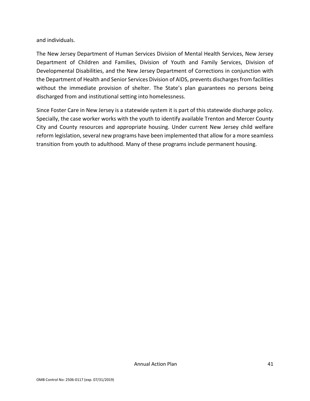and individuals.

The New Jersey Department of Human Services Division of Mental Health Services, New Jersey Department of Children and Families, Division of Youth and Family Services, Division of Developmental Disabilities, and the New Jersey Department of Corrections in conjunction with the Department of Health and Senior Services Division of AIDS, prevents discharges from facilities without the immediate provision of shelter. The State's plan guarantees no persons being discharged from and institutional setting into homelessness.

Since Foster Care in New Jersey is a statewide system it is part of this statewide discharge policy. Specially, the case worker works with the youth to identify available Trenton and Mercer County City and County resources and appropriate housing. Under current New Jersey child welfare reform legislation, several new programs have been implemented that allow for a more seamless transition from youth to adulthood. Many of these programs include permanent housing.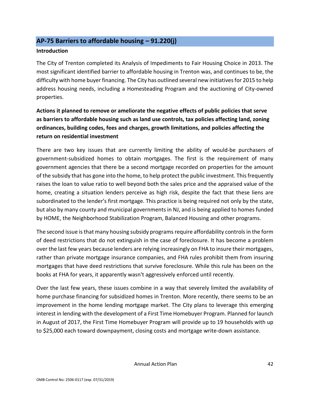### <span id="page-42-0"></span>**AP-75 Barriers to affordable housing – 91.220(j)**

### **Introduction**

The City of Trenton completed its Analysis of Impediments to Fair Housing Choice in 2013. The most significant identified barrier to affordable housing in Trenton was, and continues to be, the difficulty with home buyer financing. The City has outlined several new initiatives for 2015 to help address housing needs, including a Homesteading Program and the auctioning of City-owned properties.

# **Actions it planned to remove or ameliorate the negative effects of public policies that serve as barriers to affordable housing such as land use controls, tax policies affecting land, zoning ordinances, building codes, fees and charges, growth limitations, and policies affecting the return on residential investment**

There are two key issues that are currently limiting the ability of would-be purchasers of government-subsidized homes to obtain mortgages. The first is the requirement of many government agencies that there be a second mortgage recorded on properties for the amount of the subsidy that has gone into the home, to help protect the public investment. This frequently raises the loan to value ratio to well beyond both the sales price and the appraised value of the home, creating a situation lenders perceive as high risk, despite the fact that these liens are subordinated to the lender's first mortgage. This practice is being required not only by the state, but also by many county and municipal governments in NJ, and is being applied to homes funded by HOME, the Neighborhood Stabilization Program, Balanced Housing and other programs.

The second issue is that many housing subsidy programs require affordability controls in the form of deed restrictions that do not extinguish in the case of foreclosure. It has become a problem over the last few years because lenders are relying increasingly on FHA to insure their mortgages, rather than private mortgage insurance companies, and FHA rules prohibit them from insuring mortgages that have deed restrictions that survive foreclosure. While this rule has been on the books at FHA for years, it apparently wasn't aggressively enforced until recently.

Over the last few years, these issues combine in a way that severely limited the availability of home purchase financing for subsidized homes in Trenton. More recently, there seems to be an improvement in the home lending mortgage market. The City plans to leverage this emerging interest in lending with the development of a First Time Homebuyer Program. Planned for launch in August of 2017, the First Time Homebuyer Program will provide up to 19 households with up to \$25,000 each toward downpayment, closing costs and mortgage write-down assistance.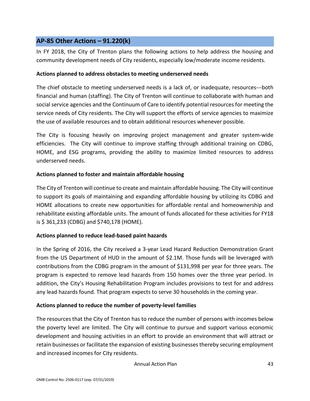### <span id="page-43-0"></span>**AP-85 Other Actions – 91.220(k)**

In FY 2018, the City of Trenton plans the following actions to help address the housing and community development needs of City residents, especially low/moderate income residents.

### **Actions planned to address obstacles to meeting underserved needs**

The chief obstacle to meeting underserved needs is a lack of, or inadequate, resources---both financial and human (staffing). The City of Trenton will continue to collaborate with human and social service agencies and the Continuum of Care to identify potential resources for meeting the service needs of City residents. The City will support the efforts of service agencies to maximize the use of available resources and to obtain additional resources whenever possible.

The City is focusing heavily on improving project management and greater system-wide efficiencies. The City will continue to improve staffing through additional training on CDBG, HOME, and ESG programs, providing the ability to maximize limited resources to address underserved needs.

### **Actions planned to foster and maintain affordable housing**

The City of Trenton will continue to create and maintain affordable housing. The City will continue to support its goals of maintaining and expanding affordable housing by utilizing its CDBG and HOME allocations to create new opportunities for affordable rental and homeownership and rehabilitate existing affordable units. The amount of funds allocated for these activities for FY18 is \$ 361,233 (CDBG) and \$740,178 (HOME).

### **Actions planned to reduce lead-based paint hazards**

In the Spring of 2016, the City received a 3-year Lead Hazard Reduction Demonstration Grant from the US Department of HUD in the amount of \$2.1M. Those funds will be leveraged with contributions from the CDBG program in the amount of \$131,998 per year for three years. The program is expected to remove lead hazards from 150 homes over the three year period. In addition, the City's Housing Rehabilitation Program includes provisions to test for and address any lead hazards found. That program expects to serve 30 households in the coming year.

#### **Actions planned to reduce the number of poverty-level families**

The resources that the City of Trenton has to reduce the number of persons with incomes below the poverty level are limited. The City will continue to pursue and support various economic development and housing activities in an effort to provide an environment that will attract or retain businesses or facilitate the expansion of existing businesses thereby securing employment and increased incomes for City residents.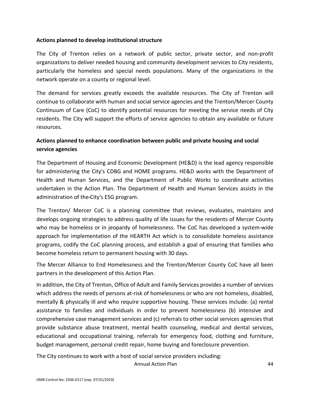### **Actions planned to develop institutional structure**

The City of Trenton relies on a network of public sector, private sector, and non-profit organizations to deliver needed housing and community development services to City residents, particularly the homeless and special needs populations. Many of the organizations in the network operate on a county or regional level.

The demand for services greatly exceeds the available resources. The City of Trenton will continue to collaborate with human and social service agencies and the Trenton/Mercer County Continuum of Care (CoC) to identify potential resources for meeting the service needs of City residents. The City will support the efforts of service agencies to obtain any available or future resources.

### **Actions planned to enhance coordination between public and private housing and social service agencies**

The Department of Housing and Economic Development (HE&D) is the lead agency responsible for administering the City's CDBG and HOME programs. HE&D works with the Department of Health and Human Services, and the Department of Public Works to coordinate activities undertaken in the Action Plan. The Department of Health and Human Services assists in the administration of the City's ESG program.

The Trenton/ Mercer CoC is a planning committee that reviews, evaluates, maintains and develops ongoing strategies to address quality of life issues for the residents of Mercer County who may be homeless or in jeopardy of homelessness. The CoC has developed a system-wide approach for implementation of the HEARTH Act which is to consolidate homeless assistance programs, codify the CoC planning process, and establish a goal of ensuring that families who become homeless return to permanent housing with 30 days.

The Mercer Alliance to End Homelessness and the Trenton/Mercer County CoC have all been partners in the development of this Action Plan.

In addition, the City of Trenton, Office of Adult and Family Services provides a number of services which address the needs of persons at-risk of homelessness or who are not homeless, disabled, mentally & physically ill and who require supportive housing. These services include: (a) rental assistance to families and individuals in order to prevent homelessness (b) intensive and comprehensive case management services and (c) referrals to other social services agencies that provide substance abuse treatment, mental health counseling, medical and dental services, educational and occupational training, referrals for emergency food, clothing and furniture, budget management, personal credit repair, home buying and foreclosure prevention.

The City continues to work with a host of social service providers including: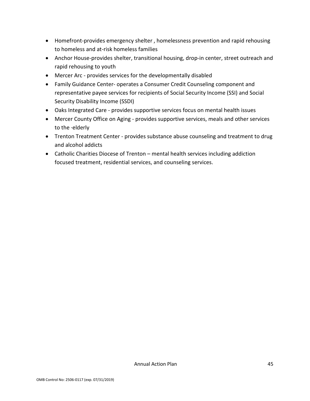- Homefront-provides emergency shelter , homelessness prevention and rapid rehousing to homeless and at-risk homeless families
- Anchor House-provides shelter, transitional housing, drop-in center, street outreach and rapid rehousing to youth
- Mercer Arc provides services for the developmentally disabled
- Family Guidance Center- operates a Consumer Credit Counseling component and representative payee services for recipients of Social Security Income (SSI) and Social Security Disability Income (SSDI)
- Oaks Integrated Care provides supportive services focus on mental health issues
- Mercer County Office on Aging provides supportive services, meals and other services to the ·elderly
- Trenton Treatment Center provides substance abuse counseling and treatment to drug and alcohol addicts
- Catholic Charities Diocese of Trenton mental health services including addiction focused treatment, residential services, and counseling services.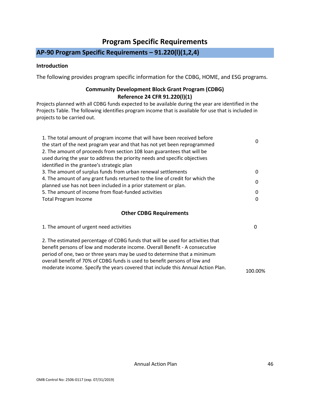# **Program Specific Requirements**

# <span id="page-46-0"></span>**AP-90 Program Specific Requirements – 91.220(l)(1,2,4)**

### **Introduction**

The following provides program specific information for the CDBG, HOME, and ESG programs.

### **Community Development Block Grant Program (CDBG) Reference 24 CFR 91.220(l)(1)**

Projects planned with all CDBG funds expected to be available during the year are identified in the Projects Table. The following identifies program income that is available for use that is included in projects to be carried out.

| 1. The total amount of program income that will have been received before<br>the start of the next program year and that has not yet been reprogrammed<br>2. The amount of proceeds from section 108 loan guarantees that will be<br>used during the year to address the priority needs and specific objectives | 0        |
|-----------------------------------------------------------------------------------------------------------------------------------------------------------------------------------------------------------------------------------------------------------------------------------------------------------------|----------|
| identified in the grantee's strategic plan                                                                                                                                                                                                                                                                      |          |
| 3. The amount of surplus funds from urban renewal settlements                                                                                                                                                                                                                                                   | 0        |
| 4. The amount of any grant funds returned to the line of credit for which the<br>planned use has not been included in a prior statement or plan.                                                                                                                                                                | $\Omega$ |
| 5. The amount of income from float-funded activities                                                                                                                                                                                                                                                            | 0        |
| <b>Total Program Income</b>                                                                                                                                                                                                                                                                                     | 0        |
| <b>Other CDBG Requirements</b>                                                                                                                                                                                                                                                                                  |          |

| 1. The amount of urgent need activities                                         | 0 |
|---------------------------------------------------------------------------------|---|
| 2. The estimated percentage of CDBG funds that will be used for activities that |   |
| benefit persons of low and moderate income. Overall Benefit - A consecutive     |   |
| period of one, two or three years may be used to determine that a minimum       |   |
| overall benefit of 70% of CDBG funds is used to benefit persons of low and      |   |

moderate income. Specify the years covered that include this Annual Action Plan. 100.00%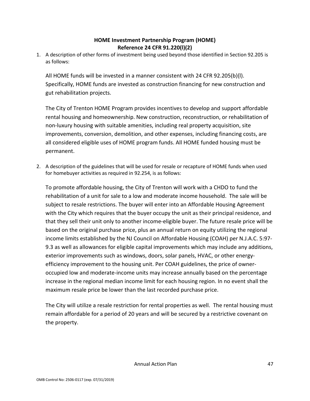### **HOME Investment Partnership Program (HOME) Reference 24 CFR 91.220(l)(2)**

1. A description of other forms of investment being used beyond those identified in Section 92.205 is as follows:

All HOME funds will be invested in a manner consistent with 24 CFR 92.205(b){l). Specifically, HOME funds are invested as construction financing for new construction and gut rehabilitation projects.

The City of Trenton HOME Program provides incentives to develop and support affordable rental housing and homeownership. New construction, reconstruction, or rehabilitation of non-luxury housing with suitable amenities, including real property acquisition, site improvements, conversion, demolition, and other expenses, including financing costs, are all considered eligible uses of HOME program funds. All HOME funded housing must be permanent.

2. A description of the guidelines that will be used for resale or recapture of HOME funds when used for homebuyer activities as required in 92.254, is as follows:

To promote affordable housing, the City of Trenton will work with a CHDO to fund the rehabilitation of a unit for sale to a low and moderate income household. The sale will be subject to resale restrictions. The buyer will enter into an Affordable Housing Agreement with the City which requires that the buyer occupy the unit as their principal residence, and that they sell their unit only to another income-eligible buyer. The future resale price will be based on the original purchase price, plus an annual return on equity utilizing the regional income limits established by the NJ Council on Affordable Housing (COAH) per N.J.A.C. 5:97- 9.3 as well as allowances for eligible capital improvements which may include any additions, exterior improvements such as windows, doors, solar panels, HVAC, or other energyefficiency improvement to the housing unit. Per COAH guidelines, the price of owneroccupied low and moderate-income units may increase annually based on the percentage increase in the regional median income limit for each housing region. In no event shall the maximum resale price be lower than the last recorded purchase price.

The City will utilize a resale restriction for rental properties as well. The rental housing must remain affordable for a period of 20 years and will be secured by a restrictive covenant on the property.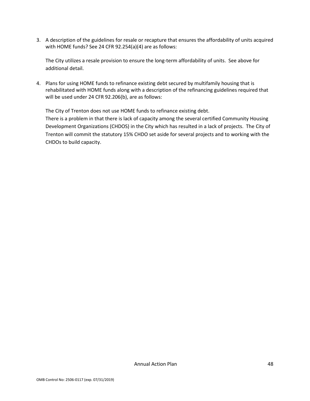3. A description of the guidelines for resale or recapture that ensures the affordability of units acquired with HOME funds? See 24 CFR 92.254(a)(4) are as follows:

The City utilizes a resale provision to ensure the long-term affordability of units. See above for additional detail.

4. Plans for using HOME funds to refinance existing debt secured by multifamily housing that is rehabilitated with HOME funds along with a description of the refinancing guidelines required that will be used under 24 CFR 92.206(b), are as follows:

The City of Trenton does not use HOME funds to refinance existing debt. There is a problem in that there is lack of capacity among the several certified Community Housing

Development Organizations (CHDOS) in the City which has resulted in a lack of projects. The City of Trenton will commit the statutory 15% CHDO set aside for several projects and to working with the CHDOs to build capacity.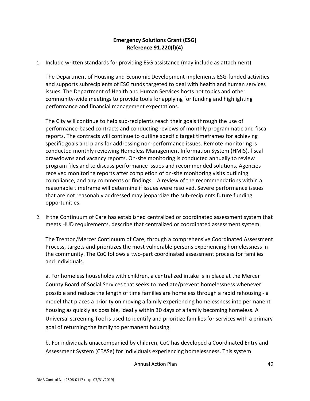### **Emergency Solutions Grant (ESG) Reference 91.220(l)(4)**

1. Include written standards for providing ESG assistance (may include as attachment)

The Department of Housing and Economic Development implements ESG-funded activities and supports subrecipients of ESG funds targeted to deal with health and human services issues. The Department of Health and Human Services hosts hot topics and other community-wide meetings to provide tools for applying for funding and highlighting performance and financial management expectations.

The City will continue to help sub-recipients reach their goals through the use of performance-based contracts and conducting reviews of monthly programmatic and fiscal reports. The contracts will continue to outline specific target timeframes for achieving specific goals and plans for addressing non-performance issues. Remote monitoring is conducted monthly reviewing Homeless Management Information System (HMIS), fiscal drawdowns and vacancy reports. On-site monitoring is conducted annually to review program files and to discuss performance issues and recommended solutions. Agencies received monitoring reports after completion of on-site monitoring visits outlining compliance, and any comments or findings. A review of the recommendations within a reasonable timeframe will determine if issues were resolved. Severe performance issues that are not reasonably addressed may jeopardize the sub-recipients future funding opportunities.

2. If the Continuum of Care has established centralized or coordinated assessment system that meets HUD requirements, describe that centralized or coordinated assessment system.

The Trenton/Mercer Continuum of Care, through a comprehensive Coordinated Assessment Process, targets and prioritizes the most vulnerable persons experiencing homelessness in the community. The CoC follows a two-part coordinated assessment process for families and individuals.

a. For homeless households with children, a centralized intake is in place at the Mercer County Board of Social Services that seeks to mediate/prevent homelessness whenever possible and reduce the length of time families are homeless through a rapid rehousing - a model that places a priority on moving a family experiencing homelessness into permanent housing as quickly as possible, ideally within 30 days of a family becoming homeless. A Universal screening Tool is used to identify and prioritize families for services with a primary goal of returning the family to permanent housing.

b. For individuals unaccompanied by children, CoC has developed a Coordinated Entry and Assessment System (CEASe) for individuals experiencing homelessness. This system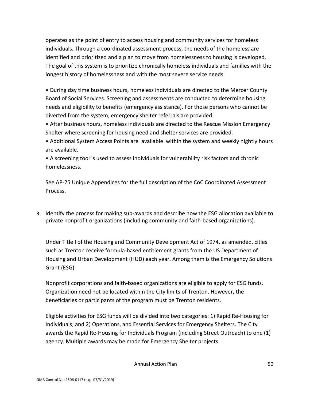operates as the point of entry to access housing and community services for homeless individuals. Through a coordinated assessment process, the needs of the homeless are identified and prioritized and a plan to move from homelessness to housing is developed. The goal of this system is to prioritize chronically homeless individuals and families with the longest history of homelessness and with the most severe service needs.

• During day time business hours, homeless individuals are directed to the Mercer County Board of Social Services. Screening and assessments are conducted to determine housing needs and eligibility to benefits (emergency assistance). For those persons who cannot be diverted from the system, emergency shelter referrals are provided.

• After business hours, homeless individuals are directed to the Rescue Mission Emergency Shelter where screening for housing need and shelter services are provided.

• Additional System Access Points are available within the system and weekly nightly hours are available.

• A screening tool is used to assess individuals for vulnerability risk factors and chronic homelessness.

See AP-25 Unique Appendices for the full description of the CoC Coordinated Assessment Process.

3. Identify the process for making sub-awards and describe how the ESG allocation available to private nonprofit organizations (including community and faith-based organizations).

Under Title I of the Housing and Community Development Act of 1974, as amended, cities such as Trenton receive formula-based entitlement grants from the US Department of Housing and Urban Development (HUD) each year. Among them is the Emergency Solutions Grant (ESG).

Nonprofit corporations and faith-based organizations are eligible to apply for ESG funds. Organization need not be located within the City limits of Trenton. However, the beneficiaries or participants of the program must be Trenton residents.

Eligible activities for ESG funds will be divided into two categories: 1) Rapid Re-Housing for Individuals; and 2) Operations, and Essential Services for Emergency Shelters. The City awards the Rapid Re-Housing for Individuals Program (including Street Outreach) to one (1) agency. Multiple awards may be made for Emergency Shelter projects.